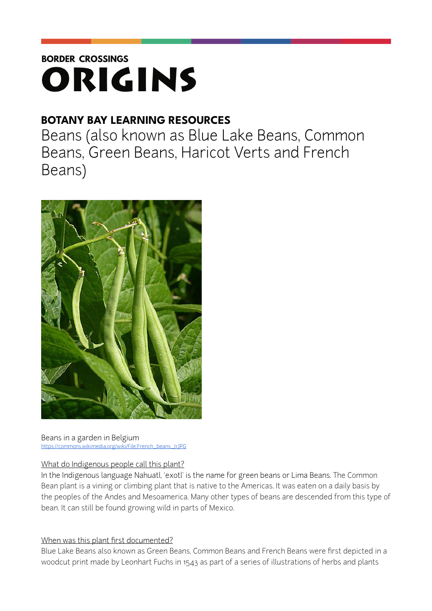# **BORDER CROSSINGS** ORIGINS

# **BOTANY BAY LEARNING RESOURCES**

Beans (also known as Blue Lake Beans, Common Beans, Green Beans, Haricot Verts and French Beans)



Beans in a garden in Belgium [https://commons.wikimedia.org/wiki/File:French\\_beans\\_J1.JPG](https://commons.wikimedia.org/wiki/File:French_beans_J1.JPG)

# What do Indigenous people call this plant?

In the Indigenous language Nahuatl, 'exotl' is the name for green beans or Lima Beans. The Common Bean plant is a vining or climbing plant that is native to the Americas. It was eaten on a daily basis by the peoples of the Andes and Mesoamerica. Many other types of beans are descended from this type of bean. It can still be found growing wild in parts of Mexico.

# When was this plant first documented?

Blue Lake Beans also known as Green Beans, Common Beans and French Beans were first depicted in a woodcut print made by Leonhart Fuchs in 1543 as part of a series of illustrations of herbs and plants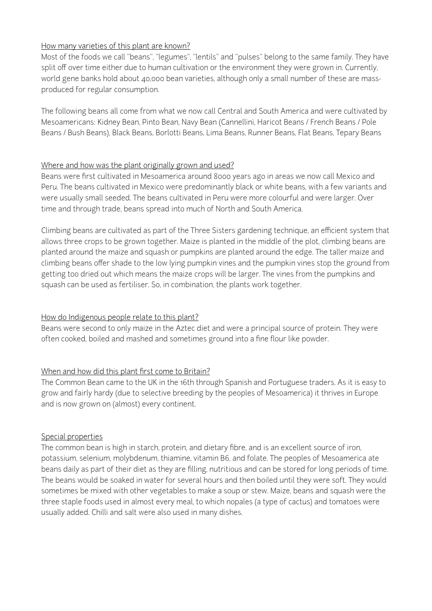#### How many varieties of this plant are known?

Most of the foods we call "beans", "legumes", "lentils" and "pulses" belong to the same family. They have split off over time either due to human cultivation or the environment they were grown in. Currently, world gene banks hold about 40,000 bean varieties, although only a small number of these are massproduced for regular consumption.

The following beans all come from what we now call Central and South America and were cultivated by Mesoamericans: Kidney Bean, Pinto Bean, Navy Bean (Cannellini, Haricot Beans / French Beans / Pole Beans / Bush Beans), Black Beans, Borlotti Beans, Lima Beans, Runner Beans, Flat Beans, Tepary Beans

#### Where and how was the plant originally grown and used?

Beans were first cultivated in Mesoamerica around 8000 years ago in areas we now call Mexico and Peru. The beans cultivated in Mexico were predominantly black or white beans, with a few variants and were usually small seeded. The beans cultivated in Peru were more colourful and were larger. Over time and through trade, beans spread into much of North and South America.

Climbing beans are cultivated as part of the Three Sisters gardening technique, an efficient system that allows three crops to be grown together. Maize is planted in the middle of the plot, climbing beans are planted around the maize and squash or pumpkins are planted around the edge. The taller maize and climbing beans offer shade to the low lying pumpkin vines and the pumpkin vines stop the ground from getting too dried out which means the maize crops will be larger. The vines from the pumpkins and squash can be used as fertiliser. So, in combination, the plants work together.

# How do Indigenous people relate to this plant?

Beans were second to only maize in the Aztec diet and were a principal source of protein. They were often cooked, boiled and mashed and sometimes ground into a fine flour like powder.

# When and how did this plant first come to Britain?

The Common Bean came to the UK in the 16th through Spanish and Portuguese traders. As it is easy to grow and fairly hardy (due to selective breeding by the peoples of Mesoamerica) it thrives in Europe and is now grown on (almost) every continent.

# Special properties

The common bean is high in starch, protein, and dietary fibre, and is an excellent source of iron, potassium, selenium, molybdenum, thiamine, vitamin B6, and folate. The peoples of Mesoamerica ate beans daily as part of their diet as they are filling, nutritious and can be stored for long periods of time. The beans would be soaked in water for several hours and then boiled until they were soft. They would sometimes be mixed with other vegetables to make a soup or stew. Maize, beans and squash were the three staple foods used in almost every meal, to which nopales (a type of cactus) and tomatoes were usually added. Chilli and salt were also used in many dishes.